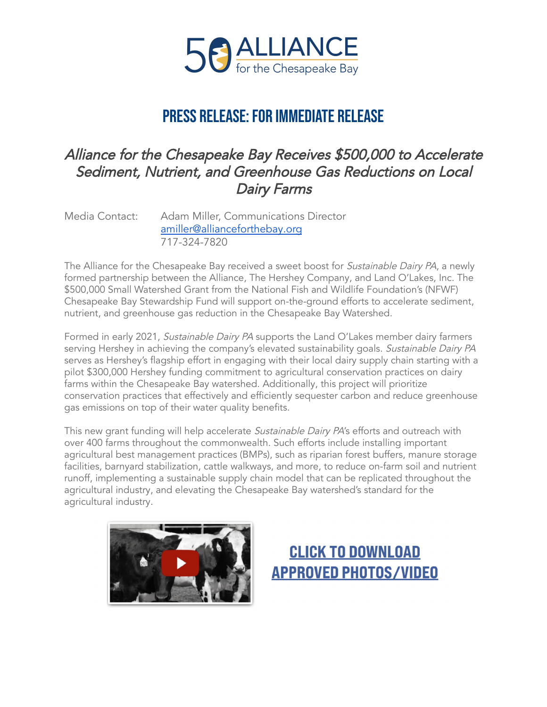

# PRESS RELEASE: FOR IMMEDIATE RELEASE

## Alliance for the Chesapeake Bay Receives \$500,000 to Accelerate Sediment, Nutrient, and Greenhouse Gas Reductions on Local Dairy Farms

Media Contact: Adam Miller, Communications Director [amiller@allianceforthebay.org](mailto:amiller@allianceforthebay.org) 717-324-7820

The Alliance for the Chesapeake Bay received a sweet boost for *Sustainable Dairy PA*, a newly formed partnership between the Alliance, The Hershey Company, and Land O'Lakes, Inc. The \$500,000 Small Watershed Grant from the National Fish and Wildlife Foundation's (NFWF) Chesapeake Bay Stewardship Fund will support on-the-ground efforts to accelerate sediment, nutrient, and greenhouse gas reduction in the Chesapeake Bay Watershed.

Formed in early 2021, Sustainable Dairy PA supports the Land O'Lakes member dairy farmers serving Hershey in achieving the company's elevated sustainability goals. Sustainable Dairy PA serves as Hershey's flagship effort in engaging with their local dairy supply chain starting with a pilot \$300,000 Hershey funding commitment to agricultural conservation practices on dairy farms within the Chesapeake Bay watershed. Additionally, this project will prioritize conservation practices that effectively and efficiently sequester carbon and reduce greenhouse gas emissions on top of their water quality benefits.

This new grant funding will help accelerate Sustainable Dairy PA's efforts and outreach with over 400 farms throughout the commonwealth. Such efforts include installing important agricultural best management practices (BMPs), such as riparian forest buffers, manure storage facilities, barnyard stabilization, cattle walkways, and more, to reduce on-farm soil and nutrient runoff, implementing a sustainable supply chain model that can be replicated throughout the agricultural industry, and elevating the Chesapeake Bay watershed's standard for the agricultural industry.



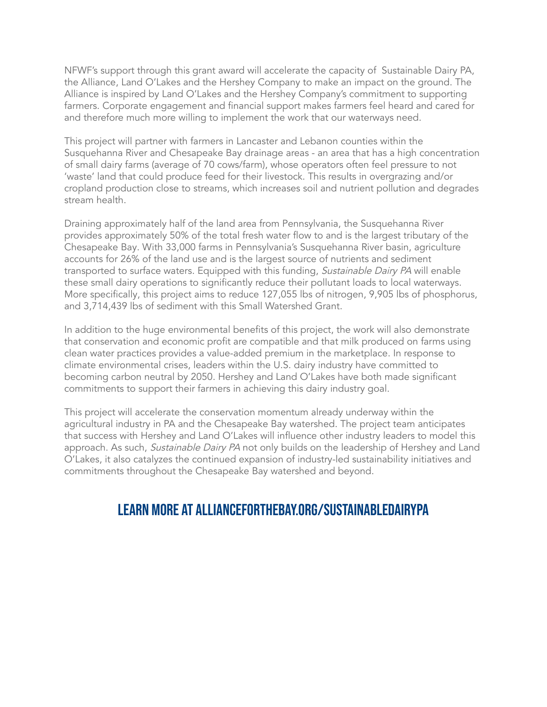NFWF's support through this grant award will accelerate the capacity of Sustainable Dairy PA, the Alliance, Land O'Lakes and the Hershey Company to make an impact on the ground. The Alliance is inspired by Land O'Lakes and the Hershey Company's commitment to supporting farmers. Corporate engagement and financial support makes farmers feel heard and cared for and therefore much more willing to implement the work that our waterways need.

This project will partner with farmers in Lancaster and Lebanon counties within the Susquehanna River and Chesapeake Bay drainage areas - an area that has a high concentration of small dairy farms (average of 70 cows/farm), whose operators often feel pressure to not 'waste' land that could produce feed for their livestock. This results in overgrazing and/or cropland production close to streams, which increases soil and nutrient pollution and degrades stream health.

Draining approximately half of the land area from Pennsylvania, the Susquehanna River provides approximately 50% of the total fresh water flow to and is the largest tributary of the Chesapeake Bay. With 33,000 farms in Pennsylvania's Susquehanna River basin, agriculture accounts for 26% of the land use and is the largest source of nutrients and sediment transported to surface waters. Equipped with this funding, Sustainable Dairy PA will enable these small dairy operations to significantly reduce their pollutant loads to local waterways. More specifically, this project aims to reduce 127,055 lbs of nitrogen, 9,905 lbs of phosphorus, and 3,714,439 lbs of sediment with this Small Watershed Grant.

In addition to the huge environmental benefits of this project, the work will also demonstrate that conservation and economic profit are compatible and that milk produced on farms using clean water practices provides a value-added premium in the marketplace. In response to climate environmental crises, leaders within the U.S. dairy industry have committed to becoming carbon neutral by 2050. Hershey and Land O'Lakes have both made significant commitments to support their farmers in achieving this dairy industry goal.

This project will accelerate the conservation momentum already underway within the agricultural industry in PA and the Chesapeake Bay watershed. The project team anticipates that success with Hershey and Land O'Lakes will influence other industry leaders to model this approach. As such, Sustainable Dairy PA not only builds on the leadership of Hershey and Land O'Lakes, it also catalyzes the continued expansion of industry-led sustainability initiatives and commitments throughout the Chesapeake Bay watershed and beyond.

#### Learn more at allianceforthebay.org/sustainabledairypa